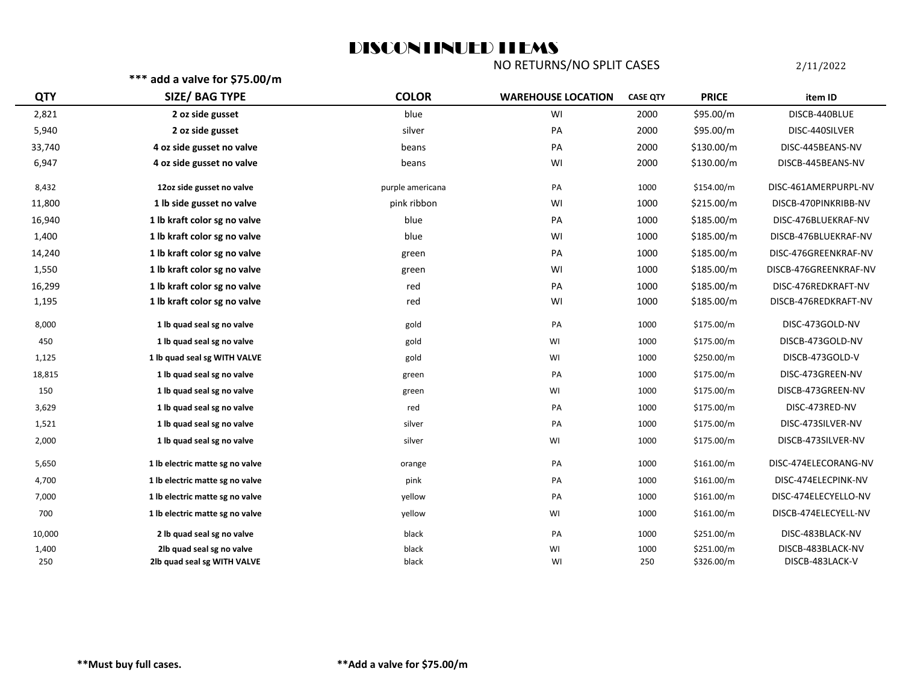## DISCONTINUED ITEMS

NO RETURNS/NO SPLIT CASES 2/11/2022

**\*\*\* add a valve for \$75.00/m**

| <b>QTY</b> | SIZE/ BAG TYPE                  | <b>COLOR</b>     | <b>WAREHOUSE LOCATION</b> | <b>CASE QTY</b> | <b>PRICE</b> | item ID               |
|------------|---------------------------------|------------------|---------------------------|-----------------|--------------|-----------------------|
| 2,821      | 2 oz side gusset                | blue             | WI                        | 2000            | \$95.00/m    | DISCB-440BLUE         |
| 5,940      | 2 oz side gusset                | silver           | PA                        | 2000            | \$95.00/m    | DISC-440SILVER        |
| 33,740     | 4 oz side gusset no valve       | beans            | PA                        | 2000            | \$130.00/m   | DISC-445BEANS-NV      |
| 6,947      | 4 oz side gusset no valve       | beans            | WI                        | 2000            | \$130.00/m   | DISCB-445BEANS-NV     |
| 8,432      | 12oz side gusset no valve       | purple americana | PA                        | 1000            | \$154.00/m   | DISC-461AMERPURPL-NV  |
| 11,800     | 1 lb side gusset no valve       | pink ribbon      | WI                        | 1000            | \$215.00/m   | DISCB-470PINKRIBB-NV  |
| 16,940     | 1 lb kraft color sg no valve    | blue             | PA                        | 1000            | \$185.00/m   | DISC-476BLUEKRAF-NV   |
| 1,400      | 1 lb kraft color sg no valve    | blue             | WI                        | 1000            | \$185.00/m   | DISCB-476BLUEKRAF-NV  |
| 14,240     | 1 lb kraft color sg no valve    | green            | PA                        | 1000            | \$185.00/m   | DISC-476GREENKRAF-NV  |
| 1,550      | 1 lb kraft color sg no valve    | green            | WI                        | 1000            | \$185.00/m   | DISCB-476GREENKRAF-NV |
| 16,299     | 1 lb kraft color sg no valve    | red              | PA                        | 1000            | \$185.00/m   | DISC-476REDKRAFT-NV   |
| 1,195      | 1 lb kraft color sg no valve    | red              | WI                        | 1000            | \$185.00/m   | DISCB-476REDKRAFT-NV  |
| 8,000      | 1 lb quad seal sg no valve      | gold             | PA                        | 1000            | \$175.00/m   | DISC-473GOLD-NV       |
| 450        | 1 lb quad seal sg no valve      | gold             | WI                        | 1000            | \$175.00/m   | DISCB-473GOLD-NV      |
| 1,125      | 1 lb quad seal sg WITH VALVE    | gold             | WI                        | 1000            | \$250.00/m   | DISCB-473GOLD-V       |
| 18,815     | 1 lb quad seal sg no valve      | green            | PA                        | 1000            | \$175.00/m   | DISC-473GREEN-NV      |
| 150        | 1 lb quad seal sg no valve      | green            | WI                        | 1000            | \$175.00/m   | DISCB-473GREEN-NV     |
| 3,629      | 1 lb quad seal sg no valve      | red              | PA                        | 1000            | \$175.00/m   | DISC-473RED-NV        |
| 1,521      | 1 lb quad seal sg no valve      | silver           | PA                        | 1000            | \$175.00/m   | DISC-473SILVER-NV     |
| 2,000      | 1 lb quad seal sg no valve      | silver           | WI                        | 1000            | \$175.00/m   | DISCB-473SILVER-NV    |
| 5,650      | 1 lb electric matte sg no valve | orange           | PA                        | 1000            | \$161.00/m   | DISC-474ELECORANG-NV  |
| 4,700      | 1 lb electric matte sg no valve | pink             | PA                        | 1000            | \$161.00/m   | DISC-474ELECPINK-NV   |
| 7,000      | 1 lb electric matte sg no valve | yellow           | PA                        | 1000            | \$161.00/m   | DISC-474ELECYELLO-NV  |
| 700        | 1 lb electric matte sg no valve | yellow           | WI                        | 1000            | \$161.00/m   | DISCB-474ELECYELL-NV  |
| 10,000     | 2 lb quad seal sg no valve      | black            | PA                        | 1000            | \$251.00/m   | DISC-483BLACK-NV      |
| 1,400      | 2lb quad seal sg no valve       | black            | WI                        | 1000            | \$251.00/m   | DISCB-483BLACK-NV     |
| 250        | 2lb quad seal sg WITH VALVE     | black            | WI                        | 250             | \$326.00/m   | DISCB-483LACK-V       |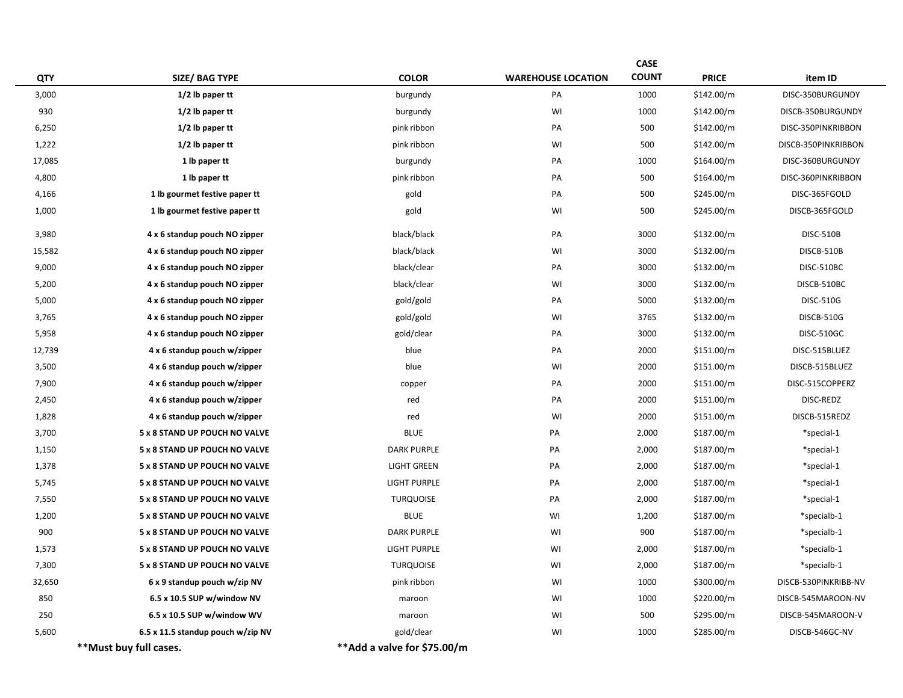|            |                                   |                             |                           | <b>CASE</b>  |              |                      |
|------------|-----------------------------------|-----------------------------|---------------------------|--------------|--------------|----------------------|
| <b>QTY</b> | SIZE/ BAG TYPE                    | <b>COLOR</b>                | <b>WAREHOUSE LOCATION</b> | <b>COUNT</b> | <b>PRICE</b> | item ID              |
| 3,000      | 1/2 lb paper tt                   | burgundy                    | PA                        | 1000         | \$142.00/m   | DISC-350BURGUNDY     |
| 930        | $1/2$ lb paper tt                 | burgundy                    | WI                        | 1000         | \$142.00/m   | DISCB-350BURGUNDY    |
| 6,250      | $1/2$ lb paper tt                 | pink ribbon                 | PA                        | 500          | \$142.00/m   | DISC-350PINKRIBBON   |
| 1,222      | 1/2 lb paper tt                   | pink ribbon                 | WI                        | 500          | \$142.00/m   | DISCB-350PINKRIBBON  |
| 17,085     | 1 lb paper tt                     | burgundy                    | PA                        | 1000         | \$164.00/m   | DISC-360BURGUNDY     |
| 4,800      | 1 lb paper tt                     | pink ribbon                 | PA                        | 500          | \$164.00/m   | DISC-360PINKRIBBON   |
| 4,166      | 1 lb gourmet festive paper tt     | gold                        | PA                        | 500          | \$245.00/m   | DISC-365FGOLD        |
| 1,000      | 1 lb gourmet festive paper tt     | gold                        | WI                        | 500          | \$245.00/m   | DISCB-365FGOLD       |
| 3,980      | 4 x 6 standup pouch NO zipper     | black/black                 | PA                        | 3000         | \$132.00/m   | <b>DISC-510B</b>     |
| 15,582     | 4 x 6 standup pouch NO zipper     | black/black                 | WI                        | 3000         | \$132.00/m   | DISCB-510B           |
| 9,000      | 4 x 6 standup pouch NO zipper     | black/clear                 | PA                        | 3000         | \$132.00/m   | DISC-510BC           |
| 5,200      | 4 x 6 standup pouch NO zipper     | black/clear                 | WI                        | 3000         | \$132.00/m   | DISCB-510BC          |
| 5,000      | 4 x 6 standup pouch NO zipper     | gold/gold                   | PA                        | 5000         | \$132.00/m   | <b>DISC-510G</b>     |
| 3,765      | 4 x 6 standup pouch NO zipper     | gold/gold                   | WI                        | 3765         | \$132.00/m   | DISCB-510G           |
| 5,958      | 4 x 6 standup pouch NO zipper     | gold/clear                  | PA                        | 3000         | \$132.00/m   | DISC-510GC           |
| 12,739     | 4 x 6 standup pouch w/zipper      | blue                        | PA                        | 2000         | \$151.00/m   | DISC-515BLUEZ        |
| 3,500      | 4 x 6 standup pouch w/zipper      | blue                        | WI                        | 2000         | \$151.00/m   | DISCB-515BLUEZ       |
| 7,900      | 4 x 6 standup pouch w/zipper      | copper                      | PA                        | 2000         | \$151.00/m   | DISC-515COPPERZ      |
| 2,450      | 4 x 6 standup pouch w/zipper      | red                         | PA                        | 2000         | \$151.00/m   | DISC-REDZ            |
| 1,828      | 4 x 6 standup pouch w/zipper      | red                         | WI                        | 2000         | \$151.00/m   | DISCB-515REDZ        |
| 3,700      | 5 x 8 STAND UP POUCH NO VALVE     | <b>BLUE</b>                 | PA                        | 2,000        | \$187.00/m   | *special-1           |
| 1,150      | 5 x 8 STAND UP POUCH NO VALVE     | <b>DARK PURPLE</b>          | PA                        | 2,000        | \$187.00/m   | *special-1           |
| 1,378      | 5 x 8 STAND UP POUCH NO VALVE     | <b>LIGHT GREEN</b>          | PA                        | 2,000        | \$187.00/m   | *special-1           |
| 5,745      | 5 x 8 STAND UP POUCH NO VALVE     | <b>LIGHT PURPLE</b>         | PA                        | 2,000        | \$187.00/m   | *special-1           |
| 7,550      | 5 x 8 STAND UP POUCH NO VALVE     | <b>TURQUOISE</b>            | PA                        | 2,000        | \$187.00/m   | *special-1           |
| 1,200      | 5 x 8 STAND UP POUCH NO VALVE     | <b>BLUE</b>                 | WI                        | 1,200        | \$187.00/m   | *specialb-1          |
| 900        | 5 x 8 STAND UP POUCH NO VALVE     | <b>DARK PURPLE</b>          | WI                        | 900          | \$187.00/m   | *specialb-1          |
| 1,573      | 5 x 8 STAND UP POUCH NO VALVE     | <b>LIGHT PURPLE</b>         | WI                        | 2,000        | \$187.00/m   | *specialb-1          |
| 7,300      | 5 x 8 STAND UP POUCH NO VALVE     | <b>TURQUOISE</b>            | WI                        | 2,000        | \$187.00/m   | *specialb-1          |
| 32,650     | 6 x 9 standup pouch w/zip NV      | pink ribbon                 | WI                        | 1000         | \$300.00/m   | DISCB-530PINKRIBB-NV |
| 850        | 6.5 x 10.5 SUP w/window NV        | maroon                      | WI                        | 1000         | \$220.00/m   | DISCB-545MAROON-NV   |
| 250        | 6.5 x 10.5 SUP w/window WV        | maroon                      | WI                        | 500          | \$295.00/m   | DISCB-545MAROON-V    |
| 5,600      | 6.5 x 11.5 standup pouch w/zip NV | gold/clear                  | WI                        | 1000         | \$285.00/m   | DISCB-546GC-NV       |
|            | **Must buy full cases.            | **Add a valve for \$75.00/m |                           |              |              |                      |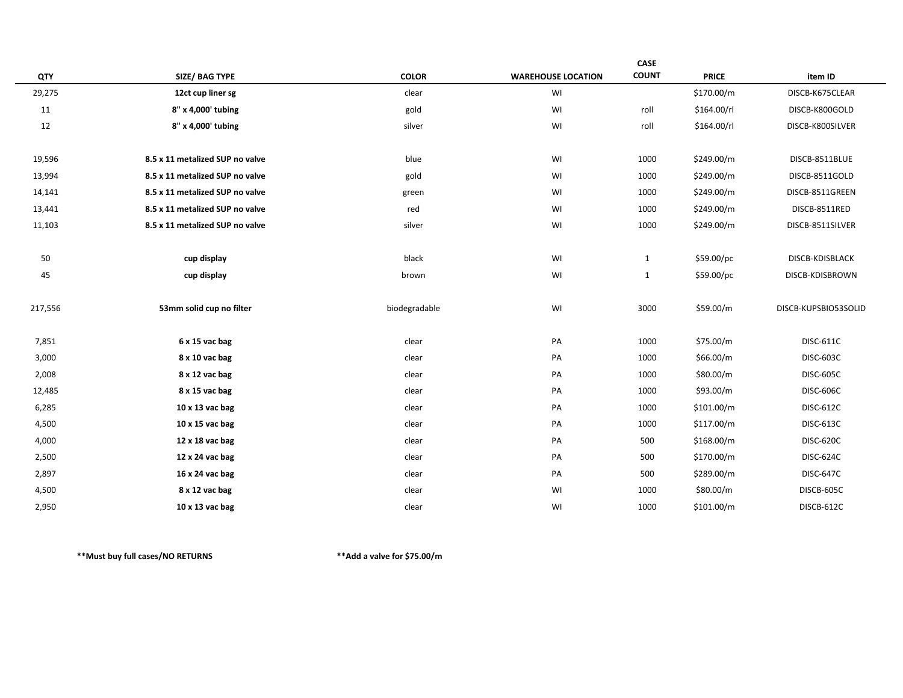|         |                                 |               |                           | CASE         |              |                      |
|---------|---------------------------------|---------------|---------------------------|--------------|--------------|----------------------|
| QTY     | <b>SIZE/ BAG TYPE</b>           | <b>COLOR</b>  | <b>WAREHOUSE LOCATION</b> | <b>COUNT</b> | <b>PRICE</b> | item ID              |
| 29,275  | 12ct cup liner sg               | clear         | WI                        |              | \$170.00/m   | DISCB-K675CLEAR      |
| 11      | 8" x 4,000' tubing              | gold          | WI                        | roll         | \$164.00/rl  | DISCB-K800GOLD       |
| 12      | 8" x 4,000' tubing              | silver        | WI                        | roll         | \$164.00/rl  | DISCB-K800SILVER     |
|         |                                 |               |                           |              |              |                      |
| 19,596  | 8.5 x 11 metalized SUP no valve | blue          | WI                        | 1000         | \$249.00/m   | DISCB-8511BLUE       |
| 13,994  | 8.5 x 11 metalized SUP no valve | gold          | WI                        | 1000         | \$249.00/m   | DISCB-8511GOLD       |
| 14,141  | 8.5 x 11 metalized SUP no valve | green         | WI                        | 1000         | \$249.00/m   | DISCB-8511GREEN      |
| 13,441  | 8.5 x 11 metalized SUP no valve | red           | WI                        | 1000         | \$249.00/m   | DISCB-8511RED        |
| 11,103  | 8.5 x 11 metalized SUP no valve | silver        | WI                        | 1000         | \$249.00/m   | DISCB-8511SILVER     |
|         |                                 |               |                           |              |              |                      |
| 50      | cup display                     | black         | WI                        | $\mathbf{1}$ | \$59.00/pc   | DISCB-KDISBLACK      |
| 45      | cup display                     | brown         | WI                        | $\mathbf{1}$ | \$59.00/pc   | DISCB-KDISBROWN      |
|         |                                 |               |                           |              |              |                      |
| 217,556 | 53mm solid cup no filter        | biodegradable | WI                        | 3000         | \$59.00/m    | DISCB-KUPSBIO53SOLID |
|         |                                 |               |                           |              |              |                      |
| 7,851   | 6 x 15 vac bag                  | clear         | PA                        | 1000         | \$75.00/m    | <b>DISC-611C</b>     |
| 3,000   | 8 x 10 vac bag                  | clear         | PA                        | 1000         | \$66.00/m    | <b>DISC-603C</b>     |
| 2,008   | 8 x 12 vac bag                  | clear         | PA                        | 1000         | \$80.00/m    | <b>DISC-605C</b>     |
| 12,485  | 8 x 15 vac bag                  | clear         | PA                        | 1000         | \$93.00/m    | <b>DISC-606C</b>     |
| 6,285   | 10 x 13 vac bag                 | clear         | PA                        | 1000         | \$101.00/m   | <b>DISC-612C</b>     |
| 4,500   | 10 x 15 vac bag                 | clear         | PA                        | 1000         | \$117.00/m   | <b>DISC-613C</b>     |
| 4,000   | 12 x 18 vac bag                 | clear         | PA                        | 500          | \$168.00/m   | <b>DISC-620C</b>     |
| 2,500   | 12 x 24 vac bag                 | clear         | PA                        | 500          | \$170.00/m   | <b>DISC-624C</b>     |
| 2,897   | 16 x 24 vac bag                 | clear         | PA                        | 500          | \$289.00/m   | <b>DISC-647C</b>     |
| 4,500   | 8 x 12 vac bag                  | clear         | WI                        | 1000         | \$80.00/m    | DISCB-605C           |
| 2,950   | 10 x 13 vac bag                 | clear         | WI                        | 1000         | \$101.00/m   | DISCB-612C           |
|         |                                 |               |                           |              |              |                      |

**\*\*Must buy full cases/NO RETURNS \*\*Add a valve for \$75.00/m**